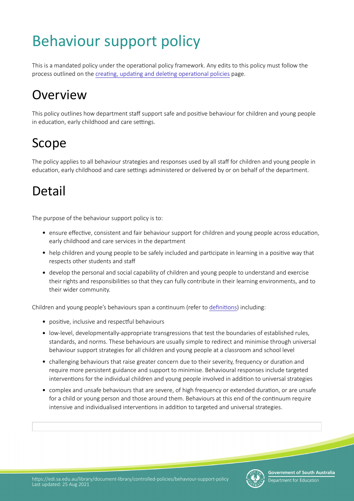# Behaviour support policy

This is a mandated policy under the operational policy framework. Any edits to this policy must follow the process outlined on the creating, updating and deleting operational policies page.

## **Overview**

This policy outlines how department staff support safe and positive behaviour for children and young people in education, early childhood and care settings.

### Scope

The policy applies to all behaviour strategies and responses used by all staf for children and young people in education, early childhood and care settings administered or delivered by or on behalf of the department.

### Detail

The purpose of the behaviour support policy is to:

- ensure efectve, consistent and fair behaviour support for children and young people across educaton, early childhood and care services in the department
- help children and young people to be safely included and participate in learning in a positive way that respects other students and staf
- develop the personal and social capability of children and young people to understand and exercise their rights and responsibilites so that they can fully contribute in their learning environments, and to their wider community.

Children and young people's behaviours span a contnuum (refer to defnitons) including:

- positive, inclusive and respectful behaviours
- low-level, developmentally-appropriate transgressions that test the boundaries of established rules, standards, and norms. These behaviours are usually simple to redirect and minimise through universal behaviour support strategies for all children and young people at a classroom and school level
- challenging behaviours that raise greater concern due to their severity, frequency or duration and require more persistent guidance and support to minimise. Behavioural responses include targeted interventions for the individual children and young people involved in addition to universal strategies
- complex and unsafe behaviours that are severe, of high frequency or extended duration, or are unsafe for a child or young person and those around them. Behaviours at this end of the continuum require intensive and individualised interventons in additon to targeted and universal strategies.

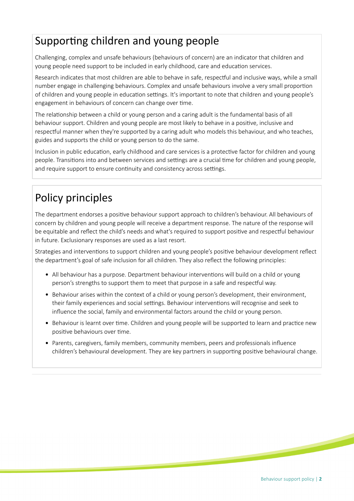#### Supporting children and young people

Challenging, complex and unsafe behaviours (behaviours of concern) are an indicator that children and young people need support to be included in early childhood, care and education services.

Research indicates that most children are able to behave in safe, respectful and inclusive ways, while a small number engage in challenging behaviours. Complex and unsafe behaviours involve a very small proporton of children and young people in education settings. It's important to note that children and young people's engagement in behaviours of concern can change over tme.

The relationship between a child or young person and a caring adult is the fundamental basis of all behaviour support. Children and young people are most likely to behave in a positve, inclusive and respectful manner when they're supported by a caring adult who models this behaviour, and who teaches, guides and supports the child or young person to do the same.

Inclusion in public education, early childhood and care services is a protective factor for children and young people. Transitions into and between services and settings are a crucial time for children and young people, and require support to ensure continuity and consistency across settings.

### Policy principles

The department endorses a positve behaviour support approach to children's behaviour. All behaviours of concern by children and young people will receive a department response. The nature of the response will be equitable and reflect the child's needs and what's required to support positive and respectful behaviour in future. Exclusionary responses are used as a last resort.

Strategies and interventons to support children and young people's positve behaviour development refect the department's goal of safe inclusion for all children. They also refect the following principles:

- All behaviour has a purpose. Department behaviour interventions will build on a child or young person's strengths to support them to meet that purpose in a safe and respectful way.
- Behaviour arises within the context of a child or young person's development, their environment, their family experiences and social settings. Behaviour interventions will recognise and seek to infuence the social, family and environmental factors around the child or young person.
- Behaviour is learnt over time. Children and young people will be supported to learn and practice new positive behaviours over time.
- Parents, caregivers, family members, community members, peers and professionals infuence children's behavioural development. They are key partners in supporting positive behavioural change.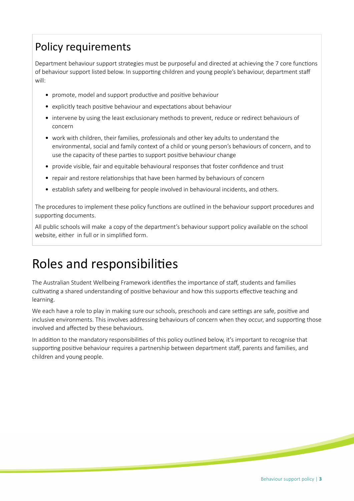#### Policy requirements

Department behaviour support strategies must be purposeful and directed at achieving the 7 core functons of behaviour support listed below. In supporting children and young people's behaviour, department staff will:

- promote, model and support productive and positive behaviour
- explicitly teach positve behaviour and expectatons about behaviour
- intervene by using the least exclusionary methods to prevent, reduce or redirect behaviours of concern
- work with children, their families, professionals and other key adults to understand the environmental, social and family context of a child or young person's behaviours of concern, and to use the capacity of these parties to support positive behaviour change
- provide visible, fair and equitable behavioural responses that foster confdence and trust
- repair and restore relatonships that have been harmed by behaviours of concern
- establish safety and wellbeing for people involved in behavioural incidents, and others.

The procedures to implement these policy functions are outlined in the behaviour support procedures and supporting documents.

All public schools will make a copy of the department's behaviour support policy available on the school website, either in full or in simplifed form.

### Roles and responsibilites

The Australian Student Wellbeing Framework identifies the importance of staff, students and families cultivating a shared understanding of positive behaviour and how this supports effective teaching and learning.

We each have a role to play in making sure our schools, preschools and care settings are safe, positive and inclusive environments. This involves addressing behaviours of concern when they occur, and supporting those involved and afected by these behaviours.

In addition to the mandatory responsibilities of this policy outlined below, it's important to recognise that supporting positive behaviour requires a partnership between department staff, parents and families, and children and young people.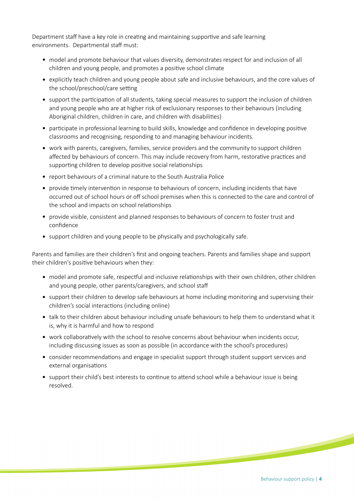Department staff have a key role in creating and maintaining supportive and safe learning environments. Departmental staff must:

- model and promote behaviour that values diversity, demonstrates respect for and inclusion of all children and young people, and promotes a positve school climate
- explicitly teach children and young people about safe and inclusive behaviours, and the core values of the school/preschool/care setting
- support the participation of all students, taking special measures to support the inclusion of children and young people who are at higher risk of exclusionary responses to their behaviours (including Aboriginal children, children in care, and children with disabilites)
- participate in professional learning to build skills, knowledge and confidence in developing positive classrooms and recognising, responding to and managing behaviour incidents.
- work with parents, caregivers, families, service providers and the community to support children affected by behaviours of concern. This may include recovery from harm, restorative practices and supporting children to develop positive social relationships
- report behaviours of a criminal nature to the South Australia Police
- provide timely intervention in response to behaviours of concern, including incidents that have occurred out of school hours or off school premises when this is connected to the care and control of the school and impacts on school relationships
- provide visible, consistent and planned responses to behaviours of concern to foster trust and confdence
- support children and young people to be physically and psychologically safe.

Parents and families are their children's frst and ongoing teachers. Parents and families shape and support their children's positve behaviours when they:

- model and promote safe, respectful and inclusive relationships with their own children, other children and young people, other parents/caregivers, and school staf
- support their children to develop safe behaviours at home including monitoring and supervising their children's social interactions (including online)
- talk to their children about behaviour including unsafe behaviours to help them to understand what it is, why it is harmful and how to respond
- work collaboratvely with the school to resolve concerns about behaviour when incidents occur, including discussing issues as soon as possible (in accordance with the school's procedures)
- consider recommendations and engage in specialist support through student support services and external organisations
- support their child's best interests to continue to attend school while a behaviour issue is being resolved.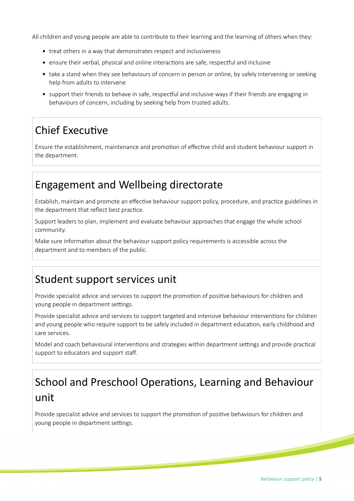All children and young people are able to contribute to their learning and the learning of others when they:

- treat others in a way that demonstrates respect and inclusiveness
- ensure their verbal, physical and online interactions are safe, respectful and inclusive
- take a stand when they see behaviours of concern in person or online, by safely intervening or seeking help from adults to intervene
- support their friends to behave in safe, respectful and inclusive ways if their friends are engaging in behaviours of concern, including by seeking help from trusted adults.

#### **Chief Executive**

Ensure the establishment, maintenance and promoton of efectve child and student behaviour support in the department.

#### Engagement and Wellbeing directorate

Establish, maintain and promote an effective behaviour support policy, procedure, and practice guidelines in the department that reflect best practice.

Support leaders to plan, implement and evaluate behaviour approaches that engage the whole school community.

Make sure information about the behaviour support policy requirements is accessible across the department and to members of the public.

#### Student support services unit

Provide specialist advice and services to support the promotion of positive behaviours for children and young people in department settings.

Provide specialist advice and services to support targeted and intensive behaviour interventons for children and young people who require support to be safely included in department education, early childhood and care services.

Model and coach behavioural interventions and strategies within department settings and provide practical support to educators and support staf.

### School and Preschool Operations, Learning and Behaviour unit

Provide specialist advice and services to support the promotion of positive behaviours for children and young people in department settings.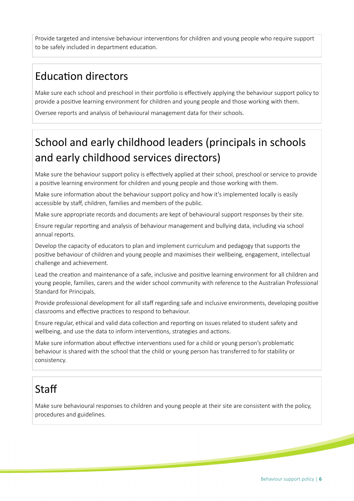Provide targeted and intensive behaviour interventons for children and young people who require support to be safely included in department education.

#### **Education directors**

Make sure each school and preschool in their portfolio is effectively applying the behaviour support policy to provide a positve learning environment for children and young people and those working with them.

Oversee reports and analysis of behavioural management data for their schools.

### School and early childhood leaders (principals in schools and early childhood services directors)

Make sure the behaviour support policy is effectively applied at their school, preschool or service to provide a positve learning environment for children and young people and those working with them.

Make sure information about the behaviour support policy and how it's implemented locally is easily accessible by staff, children, families and members of the public.

Make sure appropriate records and documents are kept of behavioural support responses by their site.

Ensure regular reportng and analysis of behaviour management and bullying data, including via school annual reports.

Develop the capacity of educators to plan and implement curriculum and pedagogy that supports the positve behaviour of children and young people and maximises their wellbeing, engagement, intellectual challenge and achievement.

Lead the creation and maintenance of a safe, inclusive and positive learning environment for all children and young people, families, carers and the wider school community with reference to the Australian Professional Standard for Principals.

Provide professional development for all staff regarding safe and inclusive environments, developing positive classrooms and effective practices to respond to behaviour.

Ensure regular, ethical and valid data collecton and reportng on issues related to student safety and wellbeing, and use the data to inform interventions, strategies and actions.

Make sure information about effective interventions used for a child or young person's problematic behaviour is shared with the school that the child or young person has transferred to for stability or consistency.

#### **Staff**

Make sure behavioural responses to children and young people at their site are consistent with the policy, procedures and guidelines.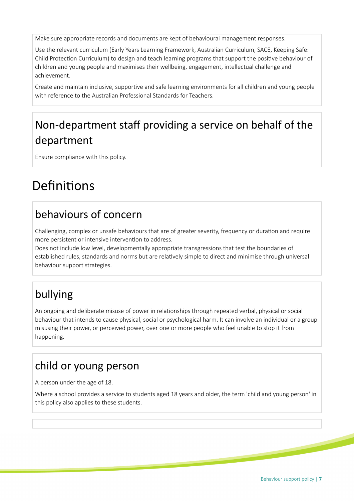Make sure appropriate records and documents are kept of behavioural management responses.

Use the relevant curriculum (Early Years Learning Framework, Australian Curriculum, SACE, Keeping Safe: Child Protecton Curriculum) to design and teach learning programs that support the positve behaviour of children and young people and maximises their wellbeing, engagement, intellectual challenge and achievement.

Create and maintain inclusive, supportive and safe learning environments for all children and young people with reference to the Australian Professional Standards for Teachers.

### Non-department staff providing a service on behalf of the department

Ensure compliance with this policy.

### Definitions

#### behaviours of concern

Challenging, complex or unsafe behaviours that are of greater severity, frequency or duration and require more persistent or intensive intervention to address.

Does not include low level, developmentally appropriate transgressions that test the boundaries of established rules, standards and norms but are relatvely simple to direct and minimise through universal behaviour support strategies.

### bullying

An ongoing and deliberate misuse of power in relatonships through repeated verbal, physical or social behaviour that intends to cause physical, social or psychological harm. It can involve an individual or a group misusing their power, or perceived power, over one or more people who feel unable to stop it from happening.

#### child or young person

A person under the age of 18.

Where a school provides a service to students aged 18 years and older, the term 'child and young person' in this policy also applies to these students.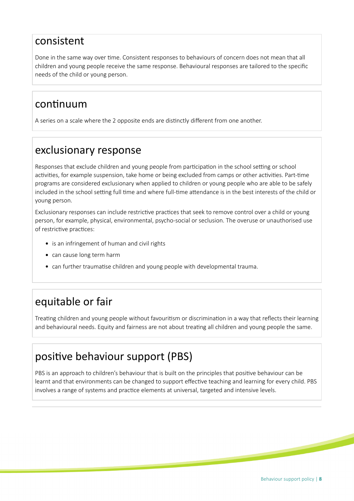#### consistent

Done in the same way over time. Consistent responses to behaviours of concern does not mean that all children and young people receive the same response. Behavioural responses are tailored to the specifc needs of the child or young person.

#### continuum

A series on a scale where the 2 opposite ends are distnctly diferent from one another.

#### exclusionary response

Responses that exclude children and young people from participation in the school setting or school activities, for example suspension, take home or being excluded from camps or other activities. Part-time programs are considered exclusionary when applied to children or young people who are able to be safely included in the school setting full time and where full-time attendance is in the best interests of the child or young person.

Exclusionary responses can include restrictive practices that seek to remove control over a child or young person, for example, physical, environmental, psycho-social or seclusion. The overuse or unauthorised use of restrictive practices:

- is an infringement of human and civil rights
- can cause long term harm
- can further traumatise children and young people with developmental trauma.

### equitable or fair

Treatng children and young people without favouritsm or discriminaton in a way that refects their learning and behavioural needs. Equity and fairness are not about treatng all children and young people the same.

#### positve behaviour support (PBS)

PBS is an approach to children's behaviour that is built on the principles that positve behaviour can be learnt and that environments can be changed to support effective teaching and learning for every child. PBS involves a range of systems and practice elements at universal, targeted and intensive levels.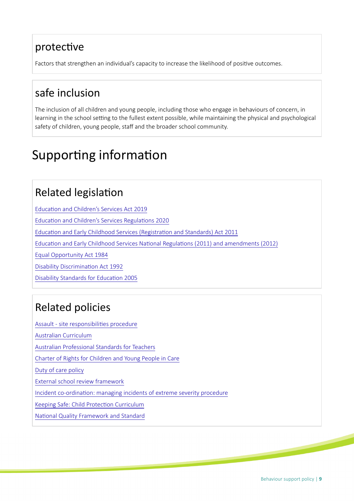#### protective

Factors that strengthen an individual's capacity to increase the likelihood of positve outcomes.

#### safe inclusion

The inclusion of all children and young people, including those who engage in behaviours of concern, in learning in the school setting to the fullest extent possible, while maintaining the physical and psychological safety of children, young people, staff and the broader school community.

## Supporting information

#### **Related legislation**

Education and Children's Services Act 2019

Education and Children's Services Regulations 2020

Education and Early Childhood Services (Registration and Standards) Act 2011

Education and Early Childhood Services National Regulations (2011) and amendments (2012)

[Equal Opportunity Act 1984](https://www.legislation.sa.gov.au/LZ/C/A/EQUAL%20OPPORTUNITY%20ACT%201984.aspx)

Disability Discrimination Act 1992

Disability Standards for Education 2005

#### Related policies

[Assault - site responsibilites procedure](https://edi.sa.edu.au/library/document-library/controlled-procedures/assault_site_responsibilities_procedure.pdf) [Australian Curriculum](https://www.australiancurriculum.edu.au) [Australian Professional Standards for Teachers](https://www.education.sa.gov.au/working-us/working-teacher/teacher-initiatives/australian-professional-standards-teachers) [Charter of Rights for Children and Young People in Care](http://www.gcyp.sa.gov.au/charter-of-rights-2/the-charter) [Duty of care policy](https://edi.sa.edu.au/operations-and-management/legal-and-projects/legal-services/duty-of-care) [External school review framework](https://edi.sa.edu.au/library/document-library/framework/operations-and-management/external-school-review-framework.pdf) [Incident co-ordinaton: managing incidents of extreme severity procedure](https://edi.sa.edu.au/library/document-library/controlled-procedures/incident-coordination-managing-incidents-of-extreme-severity.pdf)

Keeping Safe: Child Protection Curriculum

National Quality Framework and Standard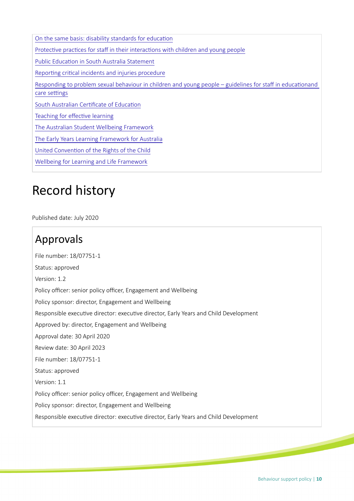| On the same basis: disability standards for education                                                                       |
|-----------------------------------------------------------------------------------------------------------------------------|
| Protective practices for staff in their interactions with children and young people                                         |
| Public Education in South Australia Statement                                                                               |
| Reporting critical incidents and injuries procedure                                                                         |
| Responding to problem sexual behaviour in children and young people – guidelines for staff in educationand<br>care settings |
| South Australian Certificate of Education                                                                                   |
| Teaching for effective learning                                                                                             |
| The Australian Student Wellbeing Framework                                                                                  |
| The Early Years Learning Framework for Australia                                                                            |
| United Convention of the Rights of the Child                                                                                |
| Wellbeing for Learning and Life Framework                                                                                   |

### Record history

Published date: July 2020

#### Approvals

File number: 18/07751-1 Status: approved Version: 1.2 Policy officer: senior policy officer, Engagement and Wellbeing Policy sponsor: director, Engagement and Wellbeing Responsible executve director: executve director, Early Years and Child Development Approved by: director, Engagement and Wellbeing Approval date: 30 April 2020 Review date: 30 April 2023 File number: 18/07751-1 Status: approved Version: 1.1 Policy officer: senior policy officer, Engagement and Wellbeing Policy sponsor: director, Engagement and Wellbeing Responsible executve director: executve director, Early Years and Child Development